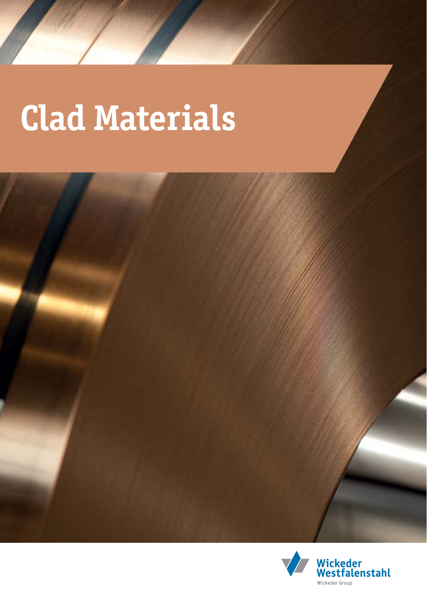# **Clad Materials**



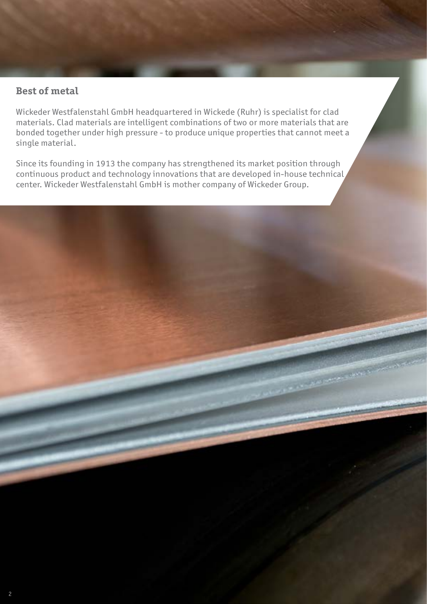### **Best of metal**

Wickeder Westfalenstahl GmbH headquartered in Wickede (Ruhr) is specialist for clad materials. Clad materials are intelligent combinations of two or more materials that are bonded together under high pressure - to produce unique properties that cannot meet a single material.

Since its founding in 1913 the company has strengthened its market position through continuous product and technology innovations that are developed in-house technical center. Wickeder Westfalenstahl GmbH is mother company of Wickeder Group.

**CONSTRUCTION**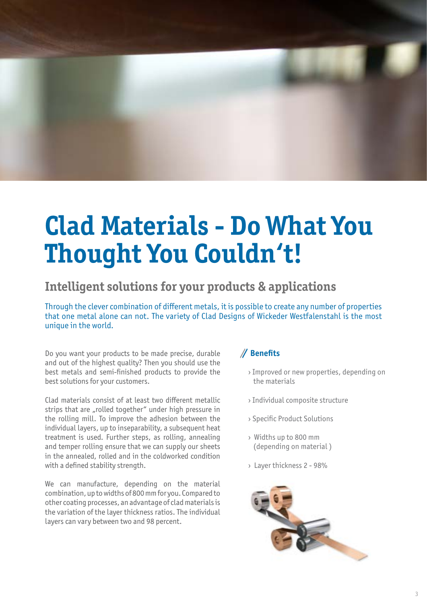

# **Clad Materials - Do What You Thought You Couldn't!**

### **Intelligent solutions for your products & applications**

Through the clever combination of different metals, it is possible to create any number of properties that one metal alone can not. The variety of Clad Designs of Wickeder Westfalenstahl is the most unique in the world.

Do you want your products to be made precise, durable and out of the highest quality? Then you should use the best metals and semi-finished products to provide the best solutions for your customers.

Clad materials consist of at least two different metallic strips that are "rolled together" under high pressure in the rolling mill. To improve the adhesion between the individual layers, up to inseparability, a subsequent heat treatment is used. Further steps, as rolling, annealing and temper rolling ensure that we can supply our sheets in the annealed, rolled and in the coldworked condition with a defined stability strength.

We can manufacture, depending on the material combination, up to widths of 800 mm for you. Compared to other coating processes, an advantage of clad materials is the variation of the layer thickness ratios. The individual layers can vary between two and 98 percent.

#### **Benefits**

- › Improved or new properties, depending on the materials
- › Individual composite structure
- › Specific Product Solutions
- › Widths up to 800 mm (depending on material )
- › Layer thickness 2 98%

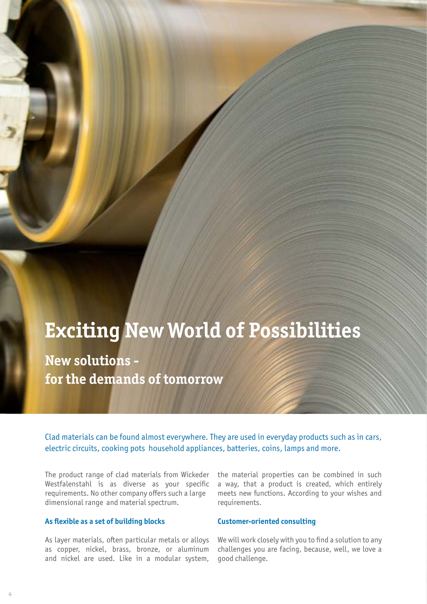### **Exciting New World of Possibilities**

**New solutions for the demands of tomorrow**

Clad materials can be found almost everywhere. They are used in everyday products such as in cars, electric circuits, cooking pots household appliances, batteries, coins, lamps and more.

The product range of clad materials from Wickeder Westfalenstahl is as diverse as your specific requirements. No other company offers such a large dimensional range and material spectrum.

#### **As flexible as a set of building blocks**

As layer materials, often particular metals or alloys as copper, nickel, brass, bronze, or aluminum and nickel are used. Like in a modular system, the material properties can be combined in such a way, that a product is created, which entirely meets new functions. According to your wishes and requirements.

#### **Customer-oriented consulting**

We will work closely with you to find a solution to any challenges you are facing, because, well, we love a good challenge.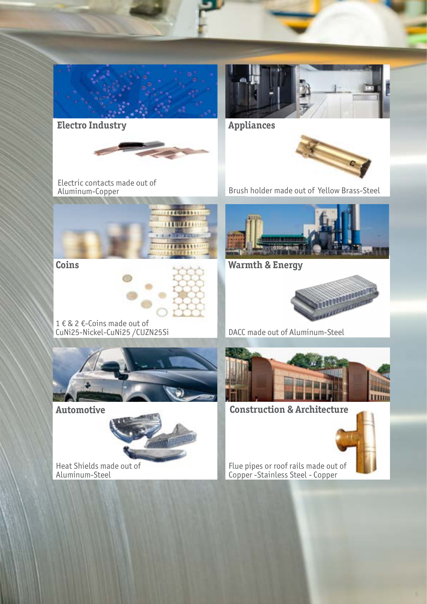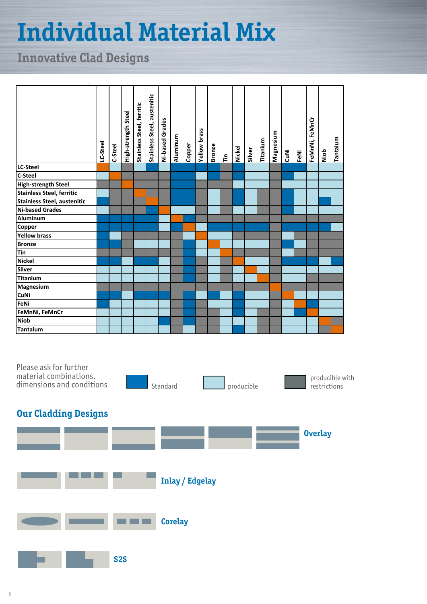# **Individual Material Mix**

### **Innovative Clad Designs**

|                                                                                                                     | LC-Steel | C-Steel | High-strength Steel | Stainless Steel, ferritic | Stainless Steel, austenitic | Ni-based Grades | Aluminum               | Copper | <b>Yellow brass</b> | <b>Bronze</b> | $\tilde{E}$ | Nickel     | Silver | Titanium | Magnesium | CuNi | FeNi | FeMnNi, FeMnCr | Niob           | Tantalum        |
|---------------------------------------------------------------------------------------------------------------------|----------|---------|---------------------|---------------------------|-----------------------------|-----------------|------------------------|--------|---------------------|---------------|-------------|------------|--------|----------|-----------|------|------|----------------|----------------|-----------------|
| LC-Steel                                                                                                            |          |         |                     |                           |                             |                 |                        |        |                     |               |             |            |        |          |           |      |      |                |                |                 |
| C-Steel                                                                                                             |          |         |                     |                           |                             |                 |                        |        |                     |               |             |            |        |          |           |      |      |                |                |                 |
| <b>High-strength Steel</b>                                                                                          |          |         |                     |                           |                             |                 |                        |        |                     |               |             |            |        |          |           |      |      |                |                |                 |
| <b>Stainless Steel, ferritic</b>                                                                                    |          |         |                     |                           |                             |                 |                        |        |                     |               |             |            |        |          |           |      |      |                |                |                 |
|                                                                                                                     |          |         |                     |                           |                             |                 |                        |        |                     |               |             |            |        |          |           |      |      |                |                |                 |
|                                                                                                                     |          |         |                     |                           |                             |                 |                        |        |                     |               |             |            |        |          |           |      |      |                |                |                 |
|                                                                                                                     |          |         |                     |                           |                             |                 |                        |        |                     |               |             |            |        |          |           |      |      |                |                |                 |
|                                                                                                                     |          |         |                     |                           |                             |                 |                        |        |                     |               |             |            |        |          |           |      |      |                |                |                 |
| Stainless Steel, austenitic<br>Stainless Steel, austenitic<br>Ni-based Grades<br>Aluminum<br>Copper<br>Yellow brass |          |         |                     |                           |                             |                 |                        |        |                     |               |             |            |        |          |           |      |      |                |                |                 |
|                                                                                                                     |          |         |                     |                           |                             |                 |                        |        |                     |               |             |            |        |          |           |      |      |                |                |                 |
| <b>Example 15</b><br><b>Example 15</b><br><b>Cinema</b><br><b>Cilver</b><br><b>Cilver</b><br><b>Citanium</b>        |          |         |                     |                           |                             |                 |                        |        |                     |               |             |            |        |          |           |      |      |                |                |                 |
|                                                                                                                     |          |         |                     |                           |                             |                 |                        |        |                     |               |             |            |        |          |           |      |      |                |                |                 |
|                                                                                                                     |          |         |                     |                           |                             |                 |                        |        |                     |               |             |            |        |          |           |      |      |                |                |                 |
|                                                                                                                     |          |         |                     |                           |                             |                 |                        |        |                     |               |             |            |        |          |           |      |      |                |                |                 |
| Magnesium<br>Magnesium<br>CuNi<br>FeNi                                                                              |          |         |                     |                           |                             |                 |                        |        |                     |               |             |            |        |          |           |      |      |                |                |                 |
|                                                                                                                     |          |         |                     |                           |                             |                 |                        |        |                     |               |             |            |        |          |           |      |      |                |                |                 |
|                                                                                                                     |          |         |                     |                           |                             |                 |                        |        |                     |               |             |            |        |          |           |      |      |                |                |                 |
| FeMnNi, FeMnCr                                                                                                      |          |         |                     |                           |                             |                 |                        |        |                     |               |             |            |        |          |           |      |      |                |                |                 |
| <b>Niob</b>                                                                                                         |          |         |                     |                           |                             |                 |                        |        |                     |               |             |            |        |          |           |      |      |                |                |                 |
| Tantalum                                                                                                            |          |         |                     |                           |                             |                 |                        |        |                     |               |             |            |        |          |           |      |      |                |                |                 |
| Please ask for further<br>material combinations,<br>dimensions and conditions                                       |          |         |                     |                           |                             | Standard        |                        |        |                     |               |             | producible |        |          |           |      |      |                | restrictions   | producible with |
| <b>Our Cladding Designs</b>                                                                                         |          |         |                     |                           |                             |                 |                        |        |                     |               |             |            |        |          |           |      |      |                | <b>Overlay</b> |                 |
|                                                                                                                     |          |         |                     |                           |                             |                 | <b>Inlay / Edgelay</b> |        |                     |               |             |            |        |          |           |      |      |                |                |                 |
|                                                                                                                     |          |         |                     |                           |                             |                 | <b>Corelay</b>         |        |                     |               |             |            |        |          |           |      |      |                |                |                 |
|                                                                                                                     |          |         | <b>S2S</b>          |                           |                             |                 |                        |        |                     |               |             |            |        |          |           |      |      |                |                |                 |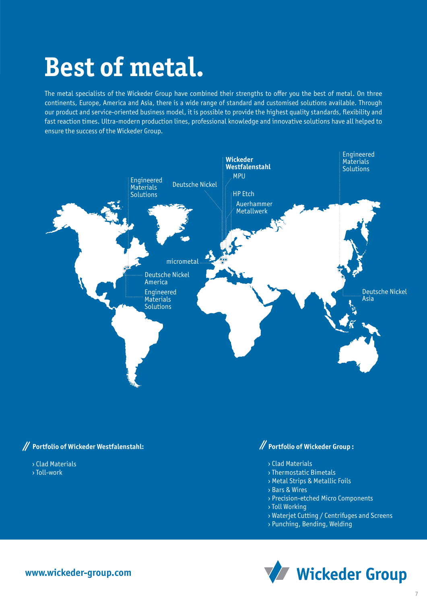### **Best of metal.**

The metal specialists of the Wickeder Group have combined their strengths to offer you the best of metal. On three continents, Europe, America and Asia, there is a wide range of standard and customised solutions available. Through our product and service-oriented business model, it is possible to provide the highest quality standards, flexibility and fast reaction times. Ultra-modern production lines, professional knowledge and innovative solutions have all helped to ensure the success of the Wickeder Group.



#### **Portfolio of Wickeder Westfalenstahl:**

#### › Clad Materials

› Toll-work

### **Portfolio of Wickeder Group :**

- › Clad Materials
- › Thermostatic Bimetals
- › Metal Strips & Metallic Foils
- › Bars & Wires
- › Precision-etched Micro Components
- › Toll Working
- › Waterjet Cutting / Centrifuges and Screens
- › Punching, Bending, Welding